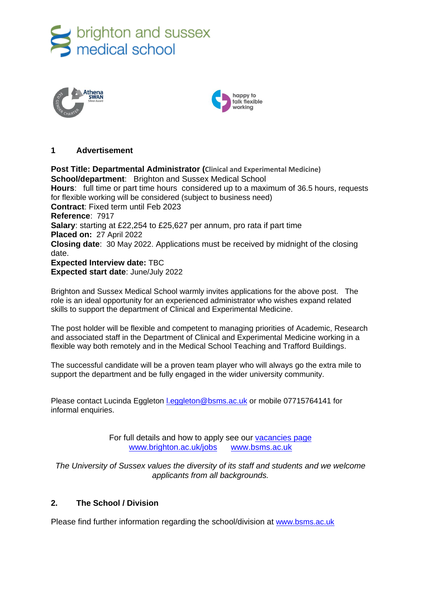





## **1 Advertisement**

**Post Title: Departmental Administrator (Clinical and Experimental Medicine) School/department**: Brighton and Sussex Medical School **Hours**: full time or part time hours considered up to a maximum of 36.5 hours, requests for flexible working will be considered (subject to business need) **Contract**: Fixed term until Feb 2023 **Reference**: 7917 **Salary**: starting at £22,254 to £25,627 per annum, pro rata if part time **Placed on:** 27 April 2022 **Closing date**: 30 May 2022. Applications must be received by midnight of the closing date. **Expected Interview date:** TBC **Expected start date**: June/July 2022

Brighton and Sussex Medical School warmly invites applications for the above post. The role is an ideal opportunity for an experienced administrator who wishes expand related skills to support the department of Clinical and Experimental Medicine.

The post holder will be flexible and competent to managing priorities of Academic, Research and associated staff in the Department of Clinical and Experimental Medicine working in a flexible way both remotely and in the Medical School Teaching and Trafford Buildings.

The successful candidate will be a proven team player who will always go the extra mile to support the department and be fully engaged in the wider university community.

Please contact Lucinda Eggleton [l.eggleton@bsms.ac.uk](mailto:l.eggleton@bsms.ac.uk) or mobile 07715764141 for informal enquiries.

> For full details and how to apply see our [vacancies page](http://www.sussex.ac.uk/about/jobs) [www.brighton.ac.uk/jobs](http://www.brighton.ac.uk/jobs) [www.bsms.ac.uk](http://www.bsms.ac.uk/)

*The University of Sussex values the diversity of its staff and students and we welcome applicants from all backgrounds.*

## **2. The School / Division**

Please find further information regarding the school/division at [www.bsms.ac.uk](http://www.bsms.ac.uk/)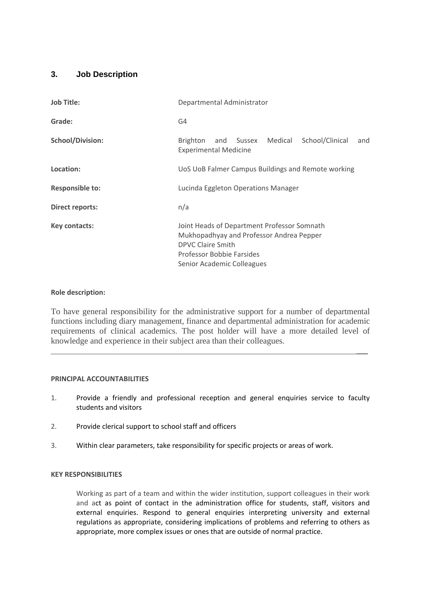# **3. Job Description**

| <b>Job Title:</b>       | Departmental Administrator                                                                                                                                                     |
|-------------------------|--------------------------------------------------------------------------------------------------------------------------------------------------------------------------------|
| Grade:                  | G4                                                                                                                                                                             |
| <b>School/Division:</b> | School/Clinical<br>and Sussex Medical<br>Brighton<br>and<br><b>Experimental Medicine</b>                                                                                       |
| Location:               | UoS UoB Falmer Campus Buildings and Remote working                                                                                                                             |
| <b>Responsible to:</b>  | Lucinda Eggleton Operations Manager                                                                                                                                            |
| <b>Direct reports:</b>  | n/a                                                                                                                                                                            |
| Key contacts:           | Joint Heads of Department Professor Somnath<br>Mukhopadhyay and Professor Andrea Pepper<br><b>DPVC Claire Smith</b><br>Professor Bobbie Farsides<br>Senior Academic Colleagues |

## **Role description:**

To have general responsibility for the administrative support for a number of departmental functions including diary management, finance and departmental administration for academic requirements of clinical academics. The post holder will have a more detailed level of knowledge and experience in their subject area than their colleagues.

 $\overline{\phantom{a}}$ 

#### **PRINCIPAL ACCOUNTABILITIES**

- 1. Provide a friendly and professional reception and general enquiries service to faculty students and visitors
- 2. Provide clerical support to school staff and officers
- 3. Within clear parameters, take responsibility for specific projects or areas of work.

#### **KEY RESPONSIBILITIES**

Working as part of a team and within the wider institution, support colleagues in their work and act as point of contact in the administration office for students, staff, visitors and external enquiries. Respond to general enquiries interpreting university and external regulations as appropriate, considering implications of problems and referring to others as appropriate, more complex issues or ones that are outside of normal practice.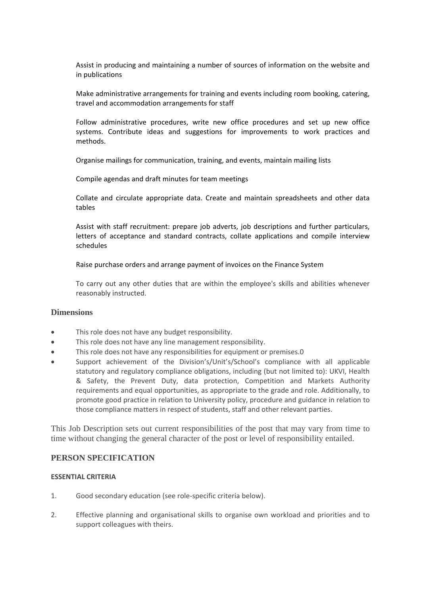Assist in producing and maintaining a number of sources of information on the website and in publications

Make administrative arrangements for training and events including room booking, catering, travel and accommodation arrangements for staff

Follow administrative procedures, write new office procedures and set up new office systems. Contribute ideas and suggestions for improvements to work practices and methods.

Organise mailings for communication, training, and events, maintain mailing lists

Compile agendas and draft minutes for team meetings

Collate and circulate appropriate data. Create and maintain spreadsheets and other data tables

Assist with staff recruitment: prepare job adverts, job descriptions and further particulars, letters of acceptance and standard contracts, collate applications and compile interview schedules

Raise purchase orders and arrange payment of invoices on the Finance System

To carry out any other duties that are within the employee's skills and abilities whenever reasonably instructed.

#### **Dimensions**

- This role does not have any budget responsibility.
- This role does not have any line management responsibility.
- This role does not have any responsibilities for equipment or premises.0
- Support achievement of the Division's/Unit's/School's compliance with all applicable statutory and regulatory compliance obligations, including (but not limited to): UKVI, Health & Safety, the Prevent Duty, data protection, Competition and Markets Authority requirements and equal opportunities, as appropriate to the grade and role. Additionally, to promote good practice in relation to University policy, procedure and guidance in relation to those compliance matters in respect of students, staff and other relevant parties.

This Job Description sets out current responsibilities of the post that may vary from time to time without changing the general character of the post or level of responsibility entailed.

#### **PERSON SPECIFICATION**

#### **ESSENTIAL CRITERIA**

- 1. Good secondary education (see role-specific criteria below).
- 2. Effective planning and organisational skills to organise own workload and priorities and to support colleagues with theirs.